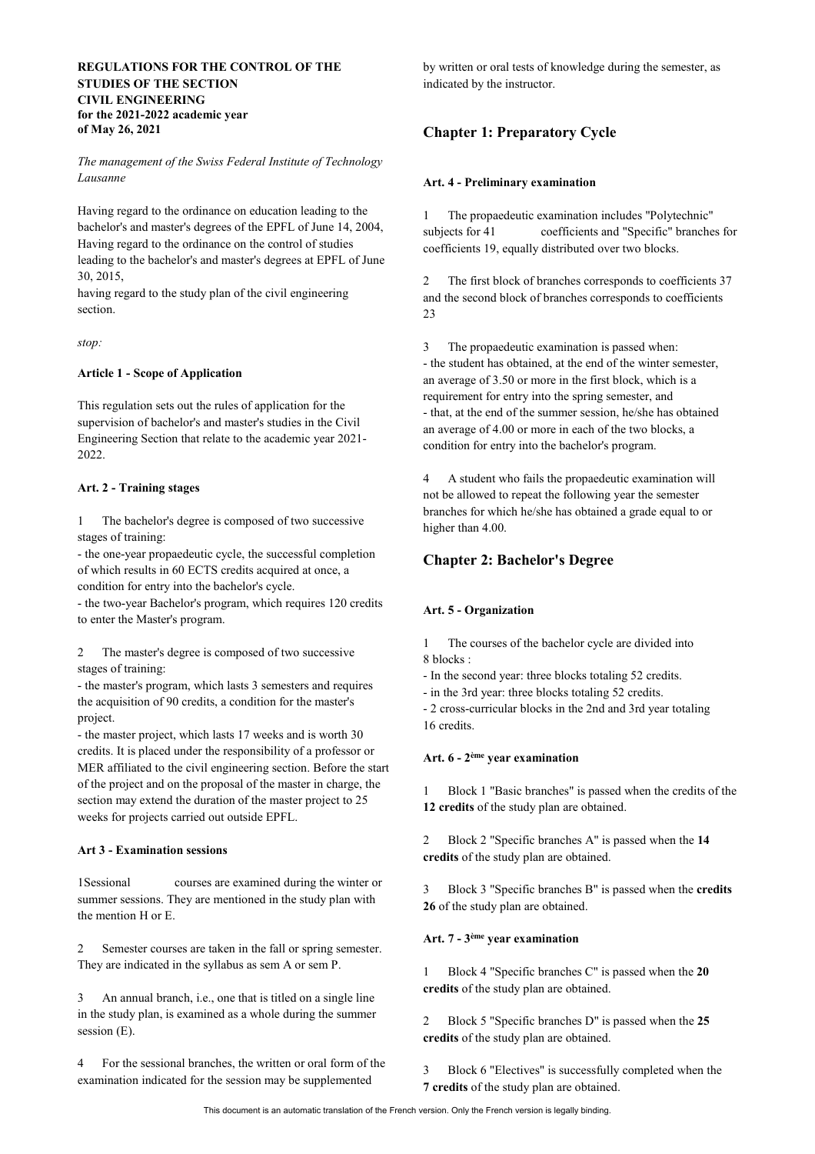## **REGULATIONS FOR THE CONTROL OF THE STUDIES OF THE SECTION CIVIL ENGINEERING for the 2021-2022 academic year of May 26, 2021**

*The management of the Swiss Federal Institute of Technology Lausanne*

Having regard to the ordinance on education leading to the bachelor's and master's degrees of the EPFL of June 14, 2004, Having regard to the ordinance on the control of studies leading to the bachelor's and master's degrees at EPFL of June 30, 2015,

having regard to the study plan of the civil engineering section.

*stop:*

## **Article 1 - Scope of Application**

This regulation sets out the rules of application for the supervision of bachelor's and master's studies in the Civil Engineering Section that relate to the academic year 2021- 2022.

## **Art. 2 - Training stages**

1 The bachelor's degree is composed of two successive stages of training:

- the one-year propaedeutic cycle, the successful completion of which results in 60 ECTS credits acquired at once, a condition for entry into the bachelor's cycle.

- the two-year Bachelor's program, which requires 120 credits to enter the Master's program.

2 The master's degree is composed of two successive stages of training:

- the master's program, which lasts 3 semesters and requires the acquisition of 90 credits, a condition for the master's project.

- the master project, which lasts 17 weeks and is worth 30 credits. It is placed under the responsibility of a professor or MER affiliated to the civil engineering section. Before the start of the project and on the proposal of the master in charge, the section may extend the duration of the master project to 25 weeks for projects carried out outside EPFL.

#### **Art 3 - Examination sessions**

1Sessional courses are examined during the winter or summer sessions. They are mentioned in the study plan with the mention H or E.

2 Semester courses are taken in the fall or spring semester. They are indicated in the syllabus as sem A or sem P.

3 An annual branch, i.e., one that is titled on a single line in the study plan, is examined as a whole during the summer session (E).

4 For the sessional branches, the written or oral form of the examination indicated for the session may be supplemented

by written or oral tests of knowledge during the semester, as indicated by the instructor.

## **Chapter 1: Preparatory Cycle**

#### **Art. 4 - Preliminary examination**

1 The propaedeutic examination includes "Polytechnic" subjects for 41 coefficients and "Specific" branches for coefficients 19, equally distributed over two blocks.

2 The first block of branches corresponds to coefficients 37 and the second block of branches corresponds to coefficients 23

3 The propaedeutic examination is passed when: - the student has obtained, at the end of the winter semester, an average of 3.50 or more in the first block, which is a requirement for entry into the spring semester, and - that, at the end of the summer session, he/she has obtained an average of 4.00 or more in each of the two blocks, a condition for entry into the bachelor's program.

4 A student who fails the propaedeutic examination will not be allowed to repeat the following year the semester branches for which he/she has obtained a grade equal to or higher than 4.00.

## **Chapter 2: Bachelor's Degree**

## **Art. 5 - Organization**

1 The courses of the bachelor cycle are divided into 8 blocks :

- In the second year: three blocks totaling 52 credits.

- in the 3rd year: three blocks totaling 52 credits.

- 2 cross-curricular blocks in the 2nd and 3rd year totaling 16 credits.

## **Art. 6 - 2ème year examination**

1 Block 1 "Basic branches" is passed when the credits of the **12 credits** of the study plan are obtained.

2 Block 2 "Specific branches A" is passed when the **14 credits** of the study plan are obtained.

3 Block 3 "Specific branches B" is passed when the **credits 26** of the study plan are obtained.

## **Art. 7 - 3ème year examination**

1 Block 4 "Specific branches C" is passed when the **20 credits** of the study plan are obtained.

2 Block 5 "Specific branches D" is passed when the **25 credits** of the study plan are obtained.

3 Block 6 "Electives" is successfully completed when the **7 credits** of the study plan are obtained.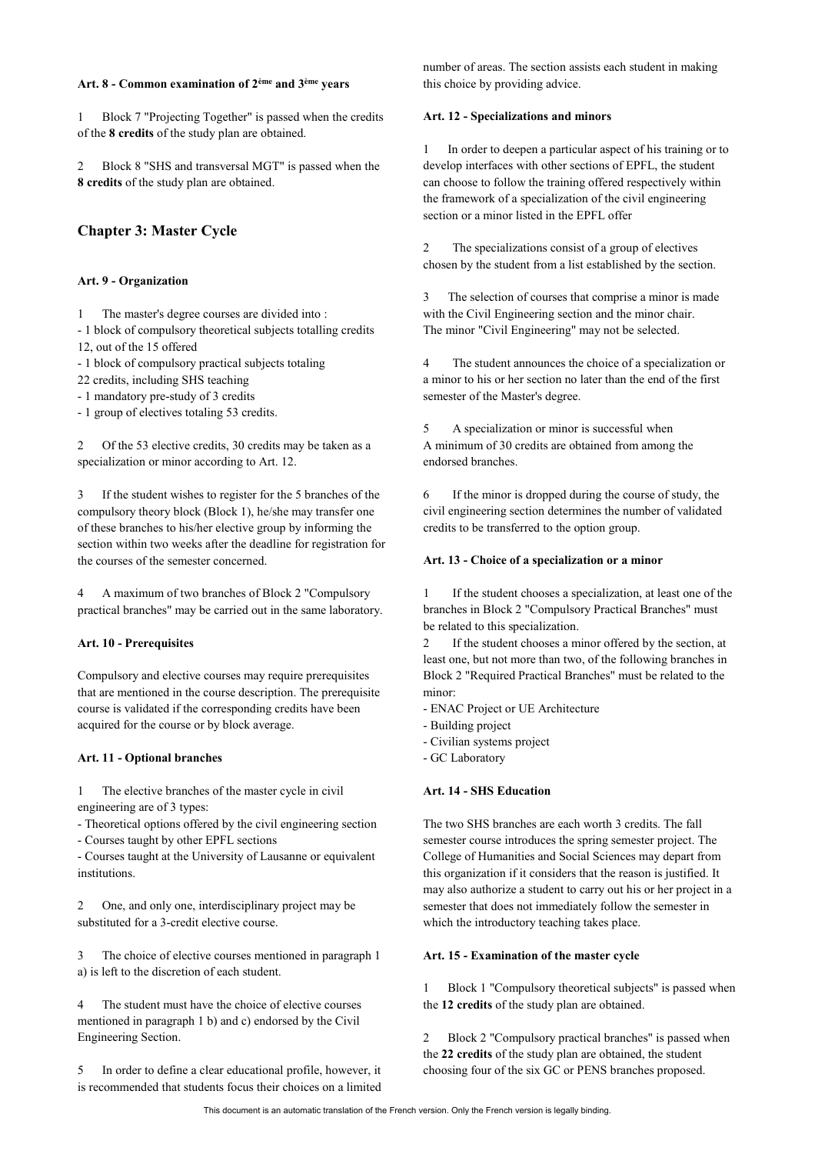## **Art. 8 - Common examination of 2ème and 3ème years**

1 Block 7 "Projecting Together" is passed when the credits of the **8 credits** of the study plan are obtained.

2 Block 8 "SHS and transversal MGT" is passed when the **8 credits** of the study plan are obtained.

## **Chapter 3: Master Cycle**

#### **Art. 9 - Organization**

1 The master's degree courses are divided into :

- 1 block of compulsory theoretical subjects totalling credits 12, out of the 15 offered

- 1 block of compulsory practical subjects totaling

22 credits, including SHS teaching

- 1 mandatory pre-study of 3 credits

- 1 group of electives totaling 53 credits.

2 Of the 53 elective credits, 30 credits may be taken as a specialization or minor according to Art. 12.

3 If the student wishes to register for the 5 branches of the compulsory theory block (Block 1), he/she may transfer one of these branches to his/her elective group by informing the section within two weeks after the deadline for registration for the courses of the semester concerned.

4 A maximum of two branches of Block 2 "Compulsory practical branches" may be carried out in the same laboratory.

#### **Art. 10 - Prerequisites**

Compulsory and elective courses may require prerequisites that are mentioned in the course description. The prerequisite course is validated if the corresponding credits have been acquired for the course or by block average.

#### **Art. 11 - Optional branches**

1 The elective branches of the master cycle in civil engineering are of 3 types:

- Theoretical options offered by the civil engineering section

- Courses taught by other EPFL sections

- Courses taught at the University of Lausanne or equivalent institutions.

2 One, and only one, interdisciplinary project may be substituted for a 3-credit elective course.

3 The choice of elective courses mentioned in paragraph 1 a) is left to the discretion of each student.

The student must have the choice of elective courses mentioned in paragraph 1 b) and c) endorsed by the Civil Engineering Section.

5 In order to define a clear educational profile, however, it is recommended that students focus their choices on a limited number of areas. The section assists each student in making this choice by providing advice.

#### **Art. 12 - Specializations and minors**

1 In order to deepen a particular aspect of his training or to develop interfaces with other sections of EPFL, the student can choose to follow the training offered respectively within the framework of a specialization of the civil engineering section or a minor listed in the EPFL offer

2 The specializations consist of a group of electives chosen by the student from a list established by the section.

3 The selection of courses that comprise a minor is made with the Civil Engineering section and the minor chair. The minor "Civil Engineering" may not be selected.

4 The student announces the choice of a specialization or a minor to his or her section no later than the end of the first semester of the Master's degree.

5 A specialization or minor is successful when A minimum of 30 credits are obtained from among the endorsed branches.

6 If the minor is dropped during the course of study, the civil engineering section determines the number of validated credits to be transferred to the option group.

### **Art. 13 - Choice of a specialization or a minor**

1 If the student chooses a specialization, at least one of the branches in Block 2 "Compulsory Practical Branches" must be related to this specialization.

2 If the student chooses a minor offered by the section, at least one, but not more than two, of the following branches in Block 2 "Required Practical Branches" must be related to the minor:

- ENAC Project or UE Architecture
- Building project
- Civilian systems project
- GC Laboratory

### **Art. 14 - SHS Education**

The two SHS branches are each worth 3 credits. The fall semester course introduces the spring semester project. The College of Humanities and Social Sciences may depart from this organization if it considers that the reason is justified. It may also authorize a student to carry out his or her project in a semester that does not immediately follow the semester in which the introductory teaching takes place.

#### **Art. 15 - Examination of the master cycle**

1 Block 1 "Compulsory theoretical subjects" is passed when the **12 credits** of the study plan are obtained.

2 Block 2 "Compulsory practical branches" is passed when the **22 credits** of the study plan are obtained, the student choosing four of the six GC or PENS branches proposed.